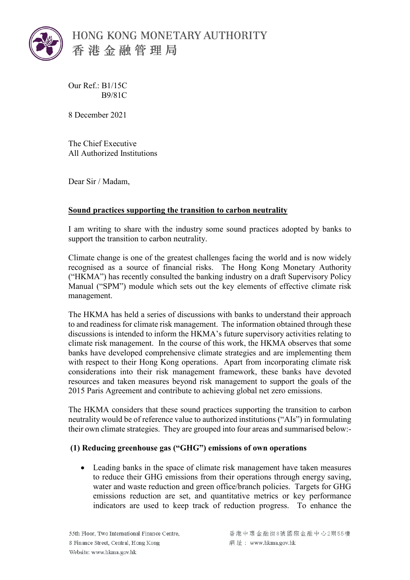

HONG KONG MONETARY AUTHORITY 香港金融管理局

Our Ref.: B1/15C B9/81C

8 December 2021

The Chief Executive All Authorized Institutions

Dear Sir / Madam,

# **Sound practices supporting the transition to carbon neutrality**

I am writing to share with the industry some sound practices adopted by banks to support the transition to carbon neutrality.

Climate change is one of the greatest challenges facing the world and is now widely recognised as a source of financial risks. The Hong Kong Monetary Authority ("HKMA") has recently consulted the banking industry on a draft Supervisory Policy Manual ("SPM") module which sets out the key elements of effective climate risk management.

The HKMA has held a series of discussions with banks to understand their approach to and readiness for climate risk management. The information obtained through these discussions is intended to inform the HKMA's future supervisory activities relating to climate risk management. In the course of this work, the HKMA observes that some banks have developed comprehensive climate strategies and are implementing them with respect to their Hong Kong operations. Apart from incorporating climate risk considerations into their risk management framework, these banks have devoted resources and taken measures beyond risk management to support the goals of the 2015 Paris Agreement and contribute to achieving global net zero emissions.

The HKMA considers that these sound practices supporting the transition to carbon neutrality would be of reference value to authorized institutions ("AIs") in formulating their own climate strategies. They are grouped into four areas and summarised below:-

# **(1) Reducing greenhouse gas ("GHG") emissions of own operations**

• Leading banks in the space of climate risk management have taken measures to reduce their GHG emissions from their operations through energy saving, water and waste reduction and green office/branch policies. Targets for GHG emissions reduction are set, and quantitative metrics or key performance indicators are used to keep track of reduction progress. To enhance the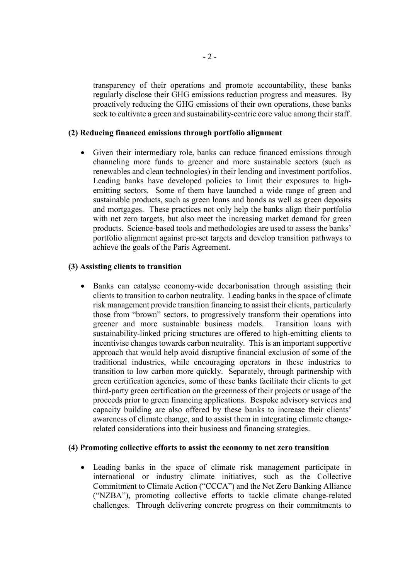transparency of their operations and promote accountability, these banks regularly disclose their GHG emissions reduction progress and measures. By proactively reducing the GHG emissions of their own operations, these banks seek to cultivate a green and sustainability-centric core value among their staff.

### **(2) Reducing financed emissions through portfolio alignment**

Given their intermediary role, banks can reduce financed emissions through channeling more funds to greener and more sustainable sectors (such as renewables and clean technologies) in their lending and investment portfolios. Leading banks have developed policies to limit their exposures to highemitting sectors. Some of them have launched a wide range of green and sustainable products, such as green loans and bonds as well as green deposits and mortgages. These practices not only help the banks align their portfolio with net zero targets, but also meet the increasing market demand for green products. Science-based tools and methodologies are used to assess the banks' portfolio alignment against pre-set targets and develop transition pathways to achieve the goals of the Paris Agreement.

### **(3) Assisting clients to transition**

• Banks can catalyse economy-wide decarbonisation through assisting their clients to transition to carbon neutrality. Leading banks in the space of climate risk management provide transition financing to assist their clients, particularly those from "brown" sectors, to progressively transform their operations into greener and more sustainable business models. Transition loans with sustainability-linked pricing structures are offered to high-emitting clients to incentivise changes towards carbon neutrality. This is an important supportive approach that would help avoid disruptive financial exclusion of some of the traditional industries, while encouraging operators in these industries to transition to low carbon more quickly. Separately, through partnership with green certification agencies, some of these banks facilitate their clients to get third-party green certification on the greenness of their projects or usage of the proceeds prior to green financing applications. Bespoke advisory services and capacity building are also offered by these banks to increase their clients' awareness of climate change, and to assist them in integrating climate changerelated considerations into their business and financing strategies.

#### **(4) Promoting collective efforts to assist the economy to net zero transition**

• Leading banks in the space of climate risk management participate in international or industry climate initiatives, such as the Collective Commitment to Climate Action ("CCCA") and the Net Zero Banking Alliance ("NZBA"), promoting collective efforts to tackle climate change-related challenges. Through delivering concrete progress on their commitments to